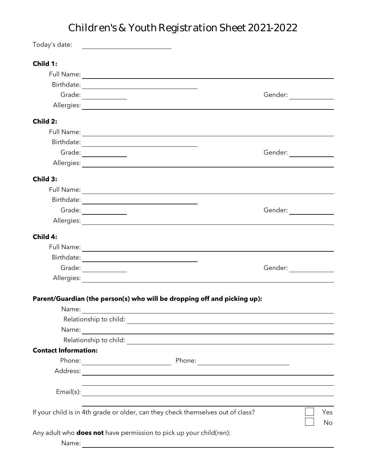## Children's & Youth Registration Sheet 2021-2022

| Today's date:               | <u> 1980 - Andrea Barbara, poeta esperanto-</u>                                                                        |  |
|-----------------------------|------------------------------------------------------------------------------------------------------------------------|--|
| Child 1:                    |                                                                                                                        |  |
|                             |                                                                                                                        |  |
|                             |                                                                                                                        |  |
|                             | Grade: $\qquad \qquad$<br>Gender:                                                                                      |  |
|                             |                                                                                                                        |  |
| Child 2:                    |                                                                                                                        |  |
|                             |                                                                                                                        |  |
|                             |                                                                                                                        |  |
|                             | Grade: _______________<br>Gender: ______________                                                                       |  |
|                             |                                                                                                                        |  |
| Child 3:                    |                                                                                                                        |  |
|                             |                                                                                                                        |  |
|                             |                                                                                                                        |  |
|                             | Grade: _______________<br>Gender: _____________                                                                        |  |
|                             |                                                                                                                        |  |
| Child 4:                    |                                                                                                                        |  |
|                             |                                                                                                                        |  |
|                             |                                                                                                                        |  |
|                             | Grade:                                                                                                                 |  |
|                             |                                                                                                                        |  |
|                             | Parent/Guardian (the person(s) who will be dropping off and picking up):                                               |  |
| Name:                       |                                                                                                                        |  |
|                             | and the control of the control of the control of the control of the control of the control of the control of the       |  |
| Name:                       |                                                                                                                        |  |
|                             |                                                                                                                        |  |
| <b>Contact Information:</b> |                                                                                                                        |  |
|                             |                                                                                                                        |  |
|                             |                                                                                                                        |  |
|                             | <u> 1989 - Andrea San Andrea San Andrea San Andrea San Andrea San Andrea San Andrea San Andrea San Andrea San Andr</u> |  |
|                             |                                                                                                                        |  |
|                             | If your child is in 4th grade or older, can they check themselves out of class?<br>Yes                                 |  |
|                             | No                                                                                                                     |  |
|                             | Any adult who <b>does not</b> have permission to pick up your child(ren):                                              |  |
| Name:                       |                                                                                                                        |  |